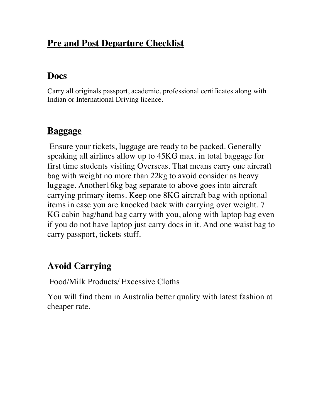#### **Pre and Post Departure Checklist**

## **Docs**

Carry all originals passport, academic, professional certificates along with Indian or International Driving licence.

# **Baggage**

Ensure your tickets, luggage are ready to be packed. Generally speaking all airlines allow up to 45KG max. in total baggage for first time students visiting Overseas. That means carry one aircraft bag with weight no more than 22kg to avoid consider as heavy luggage. Another16kg bag separate to above goes into aircraft carrying primary items. Keep one 8KG aircraft bag with optional items in case you are knocked back with carrying over weight. 7 KG cabin bag/hand bag carry with you, along with laptop bag even if you do not have laptop just carry docs in it. And one waist bag to carry passport, tickets stuff.

# **Avoid Carrying**

Food/Milk Products/ Excessive Cloths

You will find them in Australia better quality with latest fashion at cheaper rate.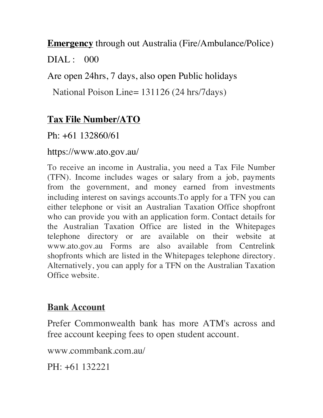**Emergency** through out Australia (Fire/Ambulance/Police)  $DIAI : 000$ 

Are open 24hrs, 7 days, also open Public holidays

National Poison Line= 131126 (24 hrs/7days)

## **Tax File Number/ATO**

Ph: +61 132860/61

https://www.ato.gov.au/

To receive an income in Australia, you need a Tax File Number (TFN). Income includes wages or salary from a job, payments from the government, and money earned from investments including interest on savings accounts.To apply for a TFN you can either telephone or visit an Australian Taxation Office shopfront who can provide you with an application form. Contact details for the Australian Taxation Office are listed in the Whitepages telephone directory or are available on their website at www.ato.gov.au Forms are also available from Centrelink shopfronts which are listed in the Whitepages telephone directory. Alternatively, you can apply for a TFN on the Australian Taxation Office website.

#### **Bank Account**

Prefer Commonwealth bank has more ATM's across and free account keeping fees to open student account.

www.commbank.com.au/

PH: +61 132221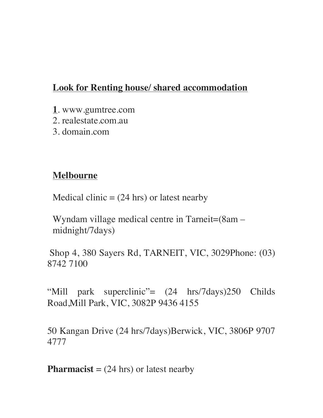## **Look for Renting house/ shared accommodation**

- **1**. www.gumtree.com
- 2. realestate.com.au
- 3. domain.com

#### **Melbourne**

Medical clinic  $= (24 \text{ hrs})$  or latest nearby

Wyndam village medical centre in Tarneit=(8am – midnight/7days)

Shop 4, 380 Sayers Rd, TARNEIT, VIC, 3029Phone: (03) 8742 7100

"Mill park superclinic"=  $(24 \text{ hrs}/7 \text{days})250$  Childs Road,Mill Park, VIC, 3082P 9436 4155

50 Kangan Drive (24 hrs/7days)Berwick, VIC, 3806P 9707 4777

**Pharmacist** =  $(24 \text{ hrs})$  or latest nearby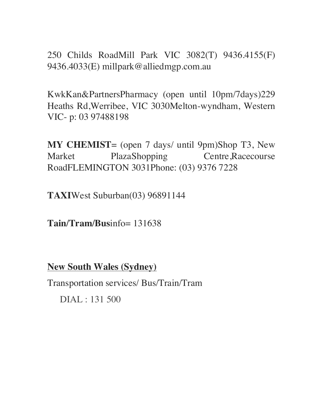250 Childs RoadMill Park VIC 3082(T) 9436.4155(F) 9436.4033(E) millpark@alliedmgp.com.au

KwkKan&PartnersPharmacy (open until 10pm/7days)229 Heaths Rd,Werribee, VIC 3030Melton-wyndham, Western VIC- p: 03 97488198

**MY CHEMIST**= (open 7 days/ until 9pm)Shop T3, New Market PlazaShopping Centre,Racecourse RoadFLEMINGTON 3031Phone: (03) 9376 7228

**TAXI**West Suburban(03) 96891144

**Tain/Tram/Bus**info= 131638

**New South Wales (Sydney)**

Transportation services/ Bus/Train/Tram

DIAL : 131 500